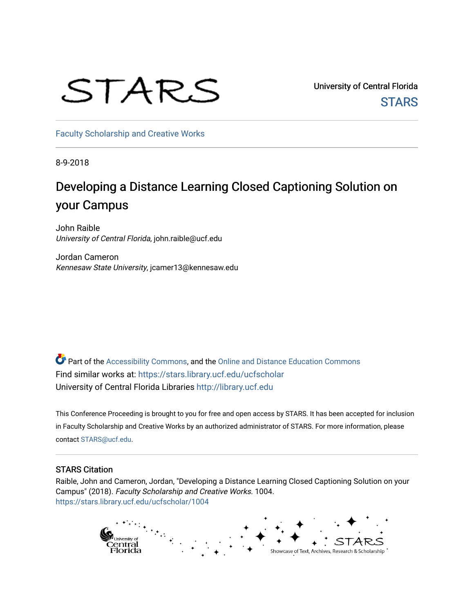# STARS

University of Central Florida **STARS** 

[Faculty Scholarship and Creative Works](https://stars.library.ucf.edu/ucfscholar) 

8-9-2018

# Developing a Distance Learning Closed Captioning Solution on your Campus

John Raible University of Central Florida, john.raible@ucf.edu

Jordan Cameron Kennesaw State University, jcamer13@kennesaw.edu

Part of the [Accessibility Commons,](http://network.bepress.com/hgg/discipline/1318?utm_source=stars.library.ucf.edu%2Fucfscholar%2F1004&utm_medium=PDF&utm_campaign=PDFCoverPages) and the [Online and Distance Education Commons](http://network.bepress.com/hgg/discipline/1296?utm_source=stars.library.ucf.edu%2Fucfscholar%2F1004&utm_medium=PDF&utm_campaign=PDFCoverPages)  Find similar works at: <https://stars.library.ucf.edu/ucfscholar> University of Central Florida Libraries [http://library.ucf.edu](http://library.ucf.edu/) 

This Conference Proceeding is brought to you for free and open access by STARS. It has been accepted for inclusion in Faculty Scholarship and Creative Works by an authorized administrator of STARS. For more information, please contact [STARS@ucf.edu.](mailto:STARS@ucf.edu)

#### STARS Citation

Raible, John and Cameron, Jordan, "Developing a Distance Learning Closed Captioning Solution on your Campus" (2018). Faculty Scholarship and Creative Works. 1004. [https://stars.library.ucf.edu/ucfscholar/1004](https://stars.library.ucf.edu/ucfscholar/1004?utm_source=stars.library.ucf.edu%2Fucfscholar%2F1004&utm_medium=PDF&utm_campaign=PDFCoverPages) 

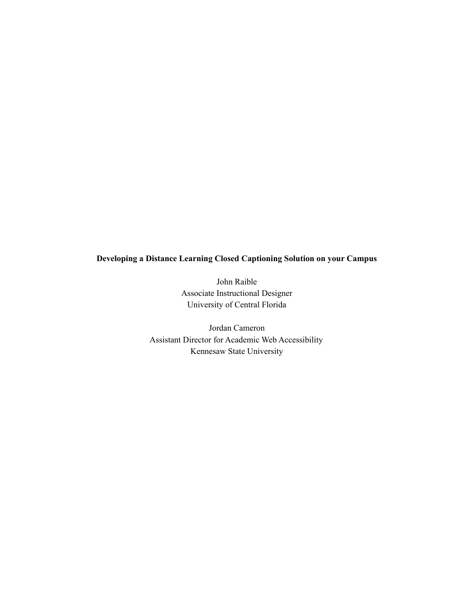# **Developing a Distance Learning Closed Captioning Solution on your Campus**

John Raible Associate Instructional Designer University of Central Florida

Jordan Cameron Assistant Director for Academic Web Accessibility Kennesaw State University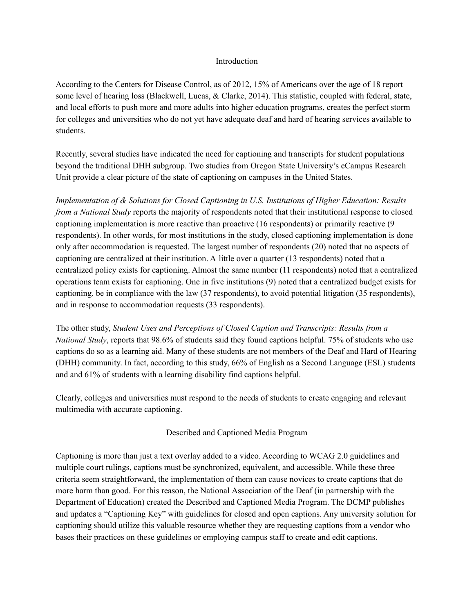#### Introduction

According to the Centers for Disease Control, as of 2012, 15% of Americans over the age of 18 report some level of hearing loss (Blackwell, Lucas, & Clarke, 2014). This statistic, coupled with federal, state, and local efforts to push more and more adults into higher education programs, creates the perfect storm for colleges and universities who do not yet have adequate deaf and hard of hearing services available to students.

Recently, several studies have indicated the need for captioning and transcripts for student populations beyond the traditional DHH subgroup. Two studies from Oregon State University's eCampus Research Unit provide a clear picture of the state of captioning on campuses in the United States.

*Implementation of & Solutions for Closed Captioning in U.S. Institutions of Higher Education: Results from a National Study* reports the majority of respondents noted that their institutional response to closed captioning implementation is more reactive than proactive (16 respondents) or primarily reactive (9 respondents). In other words, for most institutions in the study, closed captioning implementation is done only after accommodation is requested. The largest number of respondents (20) noted that no aspects of captioning are centralized at their institution. A little over a quarter (13 respondents) noted that a centralized policy exists for captioning. Almost the same number (11 respondents) noted that a centralized operations team exists for captioning. One in five institutions (9) noted that a centralized budget exists for captioning. be in compliance with the law (37 respondents), to avoid potential litigation (35 respondents), and in response to accommodation requests (33 respondents).

The other study, *Student Uses and Perceptions of Closed Caption and Transcripts: Results from a National Study*, reports that 98.6% of students said they found captions helpful. 75% of students who use captions do so as a learning aid. Many of these students are not members of the Deaf and Hard of Hearing (DHH) community. In fact, according to this study, 66% of English as a Second Language (ESL) students and and 61% of students with a learning disability find captions helpful.

Clearly, colleges and universities must respond to the needs of students to create engaging and relevant multimedia with accurate captioning.

# Described and Captioned Media Program

Captioning is more than just a text overlay added to a video. According to WCAG 2.0 guidelines and multiple court rulings, captions must be synchronized, equivalent, and accessible. While these three criteria seem straightforward, the implementation of them can cause novices to create captions that do more harm than good. For this reason, the National Association of the Deaf (in partnership with the Department of Education) created the Described and Captioned Media Program. The DCMP publishes and updates a "Captioning Key" with guidelines for closed and open captions. Any university solution for captioning should utilize this valuable resource whether they are requesting captions from a vendor who bases their practices on these guidelines or employing campus staff to create and edit captions.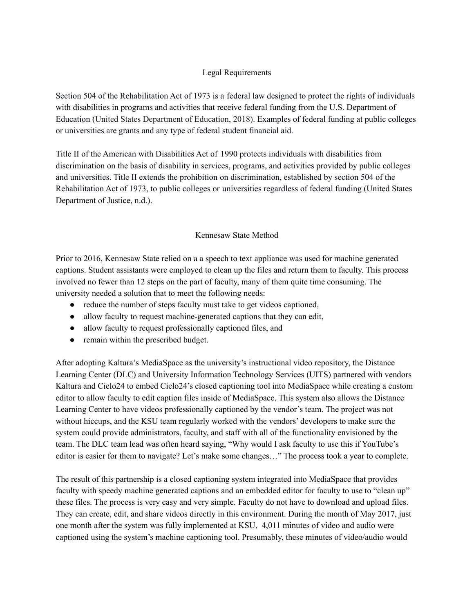# Legal Requirements

Section 504 of the Rehabilitation Act of 1973 is a federal law designed to protect the rights of individuals with disabilities in programs and activities that receive federal funding from the U.S. Department of Education (United States Department of Education, 2018). Examples of federal funding at public colleges or universities are grants and any type of federal student financial aid.

Title II of the American with Disabilities Act of 1990 protects individuals with disabilities from discrimination on the basis of disability in services, programs, and activities provided by public colleges and universities. Title II extends the prohibition on discrimination, established by section 504 of the Rehabilitation Act of 1973, to public colleges or universities regardless of federal funding (United States Department of Justice, n.d.).

# Kennesaw State Method

Prior to 2016, Kennesaw State relied on a a speech to text appliance was used for machine generated captions. Student assistants were employed to clean up the files and return them to faculty. This process involved no fewer than 12 steps on the part of faculty, many of them quite time consuming. The university needed a solution that to meet the following needs:

- reduce the number of steps faculty must take to get videos captioned,
- allow faculty to request machine-generated captions that they can edit,
- allow faculty to request professionally captioned files, and
- remain within the prescribed budget.

After adopting Kaltura's MediaSpace as the university's instructional video repository, the Distance Learning Center (DLC) and University Information Technology Services (UITS) partnered with vendors Kaltura and Cielo24 to embed Cielo24's closed captioning tool into MediaSpace while creating a custom editor to allow faculty to edit caption files inside of MediaSpace. This system also allows the Distance Learning Center to have videos professionally captioned by the vendor's team. The project was not without hiccups, and the KSU team regularly worked with the vendors' developers to make sure the system could provide administrators, faculty, and staff with all of the functionality envisioned by the team. The DLC team lead was often heard saying, "Why would I ask faculty to use this if YouTube's editor is easier for them to navigate? Let's make some changes…" The process took a year to complete.

The result of this partnership is a closed captioning system integrated into MediaSpace that provides faculty with speedy machine generated captions and an embedded editor for faculty to use to "clean up" these files. The process is very easy and very simple. Faculty do not have to download and upload files. They can create, edit, and share videos directly in this environment. During the month of May 2017, just one month after the system was fully implemented at KSU, 4,011 minutes of video and audio were captioned using the system's machine captioning tool. Presumably, these minutes of video/audio would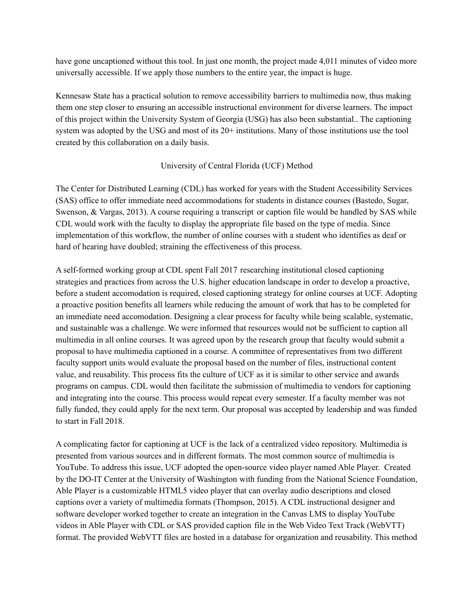have gone uncaptioned without this tool. In just one month, the project made 4,011 minutes of video more universally accessible. If we apply those numbers to the entire year, the impact is huge.

Kennesaw State has a practical solution to remove accessibility barriers to multimedia now, thus making them one step closer to ensuring an accessible instructional environment for diverse learners. The impact of this project within the University System of Georgia (USG) has also been substantial.. The captioning system was adopted by the USG and most of its 20+ institutions. Many of those institutions use the tool created by this collaboration on a daily basis.

# University of Central Florida (UCF) Method

The Center for Distributed Learning (CDL) has worked for years with the Student Accessibility Services (SAS) office to offer immediate need accommodations for students in distance courses (Bastedo, Sugar, Swenson, & Vargas, 2013). A course requiring a transcript or caption file would be handled by SAS while CDL would work with the faculty to display the appropriate file based on the type of media. Since implementation of this workflow, the number of online courses with a student who identifies as deaf or hard of hearing have doubled; straining the effectiveness of this process.

A self-formed working group at CDL spent Fall 2017 researching institutional closed captioning strategies and practices from across the U.S. higher education landscape in order to develop a proactive, before a student accomodation is required, closed captioning strategy for online courses at UCF. Adopting a proactive position benefits all learners while reducing the amount of work that has to be completed for an immediate need accomodation. Designing a clear process for faculty while being scalable, systematic, and sustainable was a challenge. We were informed that resources would not be sufficient to caption all multimedia in all online courses. It was agreed upon by the research group that faculty would submit a proposal to have multimedia captioned in a course. A committee of representatives from two different faculty support units would evaluate the proposal based on the number of files, instructional content value, and reusability. This process fits the culture of UCF as it is similar to other service and awards programs on campus. CDL would then facilitate the submission of multimedia to vendors for captioning and integrating into the course. This process would repeat every semester. If a faculty member was not fully funded, they could apply for the next term. Our proposal was accepted by leadership and was funded to start in Fall 2018.

A complicating factor for captioning at UCF is the lack of a centralized video repository. Multimedia is presented from various sources and in different formats. The most common source of multimedia is YouTube. To address this issue, UCF adopted the open-source video player named Able Player. Created by the DO-IT Center at the University of Washington with funding from the National Science Foundation, Able Player is a customizable HTML5 video player that can overlay audio descriptions and closed captions over a variety of multimedia formats (Thompson, 2015). A CDL instructional designer and software developer worked together to create an integration in the Canvas LMS to display YouTube videos in Able Player with CDL or SAS provided caption file in the Web Video Text Track (WebVTT) format. The provided WebVTT files are hosted in a database for organization and reusability. This method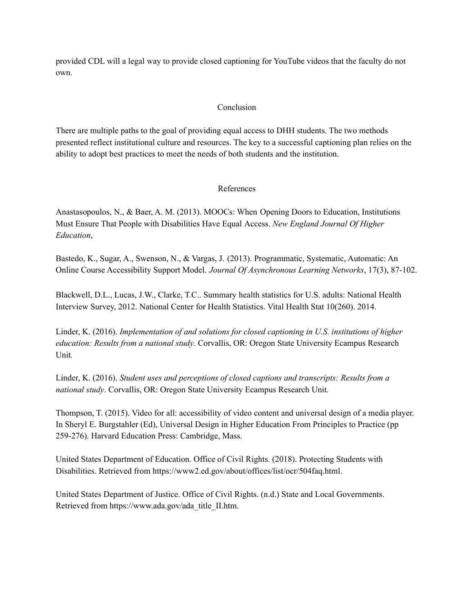provided CDL will a legal way to provide closed captioning for YouTube videos that the faculty do not own.

#### Conclusion

There are multiple paths to the goal of providing equal access to DHH students. The two methods presented reflect institutional culture and resources. The key to a successful captioning plan relies on the ability to adopt best practices to meet the needs of both students and the institution.

#### References

Anastasopoulos, N., & Baer, A. M. (2013). MOOCs: When Opening Doors to Education, Institutions Must Ensure That People with Disabilities Have Equal Access. *New England Journal Of Higher Education*,

Bastedo, K., Sugar, A., Swenson, N., & Vargas, J. (2013). Programmatic, Systematic, Automatic: An Online Course Accessibility Support Model. *Journal Of Asynchronous Learning Networks*, 17(3), 87-102.

Blackwell, D.L., Lucas, J.W., Clarke, T.C.. Summary health statistics for U.S. adults: National Health Interview Survey, 2012. National Center for Health Statistics. Vital Health Stat 10(260). 2014.

Linder, K. (2016). *Implementation of and solutions for closed captioning in U.S. institutions of higher education: Results from a national study*. Corvallis, OR: Oregon State University Ecampus Research Unit*.*

Linder, K. (2016). *Student uses and perceptions of closed captions and transcripts: Results from a national study*. Corvallis, OR: Oregon State University Ecampus Research Unit*.*

Thompson, T. (2015). Video for all: accessibility of video content and universal design of a media player. In Sheryl E. Burgstahler (Ed), Universal Design in Higher Education From Principles to Practice (pp 259-276). Harvard Education Press: Cambridge, Mass.

United States Department of Education. Office of Civil Rights. (2018). Protecting Students with Disabilities. Retrieved from https://www2.ed.gov/about/offices/list/ocr/504faq.html.

United States Department of Justice. Office of Civil Rights. (n.d.) State and Local Governments. Retrieved from https://www.ada.gov/ada\_title\_II.htm.